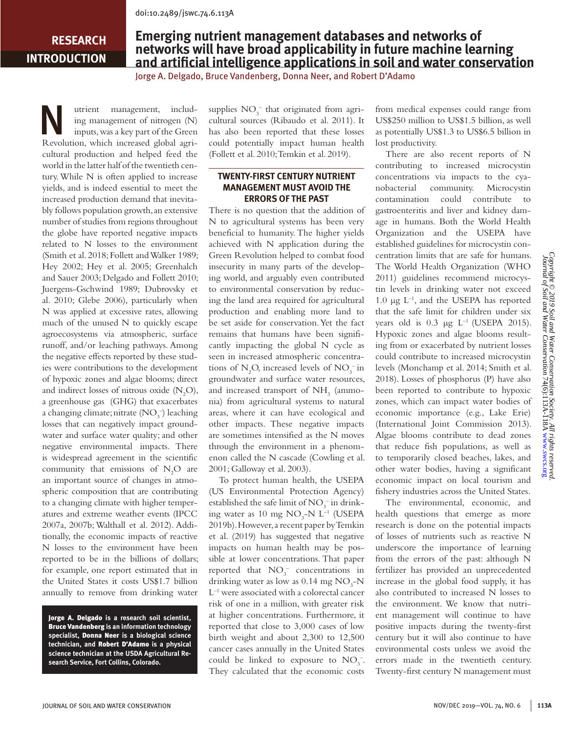## **RESEARCH INTRODUCTION**

# **Emerging nutrient management databases and networks of networks will have broad applicability in future machine learning and artificial intelligence applications in soil and water conservation**

Jorge A. Delgado, Bruce Vandenberg, Donna Neer, and Robert D'Adamo

W utrient management, includ-<br>
inputs, was a key part of the Green<br>
P problem which increased alabel and ing management of nitrogen (N) Revolution, which increased global agricultural production and helped feed the world in the latter half of the twentieth century. While N is often applied to increase yields, and is indeed essential to meet the increased production demand that inevitably follows population growth, an extensive number of studies from regions throughout the globe have reported negative impacts related to N losses to the environment (Smith et al. 2018; Follett and Walker 1989; Hey 2002; Hey et al. 2005; Greenhalch and Sauer 2003; Delgado and Follett 2010; Juergens-Gschwind 1989; Dubrovsky et al. 2010; Glebe 2006), particularly when N was applied at excessive rates, allowing much of the unused N to quickly escape agroecosystems via atmospheric, surface runoff, and/or leaching pathways. Among the negative effects reported by these studies were contributions to the development of hypoxic zones and algae blooms; direct and indirect losses of nitrous oxide  $(N_2O)$ , a greenhouse gas (GHG) that exacerbates a changing climate; nitrate  $(\text{NO}_3^-)$  leaching losses that can negatively impact groundwater and surface water quality; and other negative environmental impacts. There is widespread agreement in the scientific community that emissions of  $N_2O$  are an important source of changes in atmospheric composition that are contributing to a changing climate with higher temperatures and extreme weather events (IPCC 2007a, 2007b; Walthall et al. 2012). Additionally, the economic impacts of reactive N losses to the environment have been reported to be in the billions of dollars; for example, one report estimated that in the United States it costs US\$1.7 billion annually to remove from drinking water

Jorge A. Delgado **is a research soil scientist,**  Bruce Vandenberg **is an information technology specialist,** Donna Neer **is a biological science technician, and** Robert D'Adamo **is a physical science technician at the USDA Agricultural Research Service, Fort Collins, Colorado.**

supplies  $NO_3^-$  that originated from agricultural sources (Ribaudo et al. 2011). It has also been reported that these losses could potentially impact human health (Follett et al. 2010; Temkin et al. 2019).

### **TWENTY-FIRST CENTURY NUTRIENT MANAGEMENT MUST AVOID THE ERRORS OF THE PAST**

There is no question that the addition of N to agricultural systems has been very beneficial to humanity. The higher yields achieved with N application during the Green Revolution helped to combat food insecurity in many parts of the developing world, and arguably even contributed to environmental conservation by reducing the land area required for agricultural production and enabling more land to be set aside for conservation. Yet the fact remains that humans have been significantly impacting the global N cycle as seen in increased atmospheric concentrations of  $N_2O$ , increased levels of  $NO_3^-$  in groundwater and surface water resources, and increased transport of  $\mathrm{NH}_3$  (ammonia) from agricultural systems to natural areas, where it can have ecological and other impacts. These negative impacts are sometimes intensified as the N moves through the environment in a phenomenon called the N cascade (Cowling et al. 2001; Galloway et al. 2003).

To protect human health, the USEPA (US Environmental Protection Agency) established the safe limit of  $NO_3^-$  in drinking water as 10 mg  $NO<sub>3</sub>$ -N L<sup>-1</sup> (USEPA 2019b). However, a recent paper by Temkin et al. (2019) has suggested that negative impacts on human health may be possible at lower concentrations. That paper reported that  $NO_3^-$  concentrations in drinking water as low as  $0.14$  mg  $NO<sub>3</sub>$ -N  $L^{-1}$  were associated with a colorectal cancer risk of one in a million, with greater risk at higher concentrations. Furthermore, it reported that close to 3,000 cases of low birth weight and about 2,300 to 12,500 cancer cases annually in the United States could be linked to exposure to  $NO<sub>3</sub><sup>-</sup>$ . They calculated that the economic costs

from medical expenses could range from US\$250 million to US\$1.5 billion, as well as potentially US\$1.3 to US\$6.5 billion in lost productivity.

There are also recent reports of N contributing to increased microcystin concentrations via impacts to the cyanobacterial community. Microcystin contamination could contribute to gastroenteritis and liver and kidney damage in humans. Both the World Health Organization and the USEPA have established guidelines for microcystin concentration limits that are safe for humans. The World Health Organization (WHO 2011) guidelines recommend microcystin levels in drinking water not exceed 1.0 μg  $L^{-1}$ , and the USEPA has reported that the safe limit for children under six years old is  $0.3 \mu g L^{-1}$  (USEPA 2015). Hypoxic zones and algae blooms resulting from or exacerbated by nutrient losses could contribute to increased microcystin levels (Monchamp et al. 2014; Smith et al. 2018). Losses of phosphorus (P) have also been reported to contribute to hypoxic zones, which can impact water bodies of economic importance (e.g., Lake Erie) (International Joint Commission 2013). Algae blooms contribute to dead zones that reduce fish populations, as well as to temporarily closed beaches, lakes, and other water bodies, having a significant economic impact on local tourism and fishery industries across the United States.

The environmental, economic, and health questions that emerge as more research is done on the potential impacts of losses of nutrients such as reactive N underscore the importance of learning from the errors of the past: although N fertilizer has provided an unprecedented increase in the global food supply, it has also contributed to increased N losses to the environment. We know that nutrient management will continue to have positive impacts during the twenty-first century but it will also continue to have environmental costs unless we avoid the errors made in the twentieth century. Twenty-first century N management must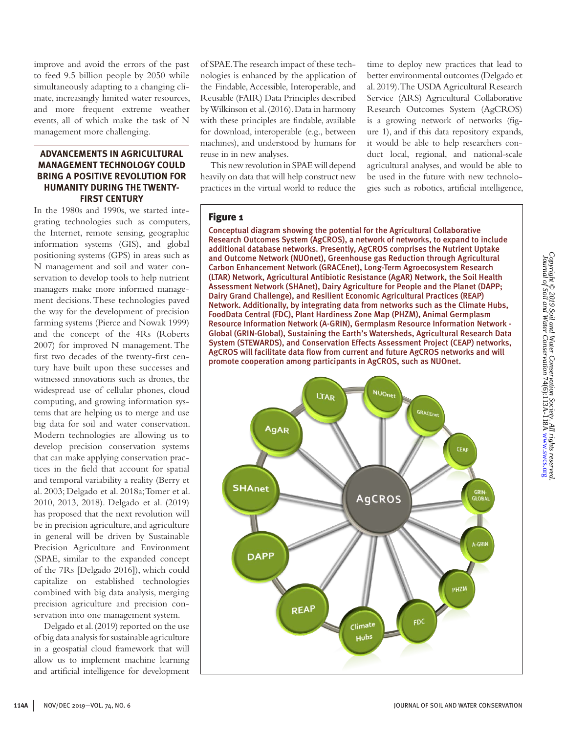improve and avoid the errors of the past to feed 9.5 billion people by 2050 while simultaneously adapting to a changing climate, increasingly limited water resources, and more frequent extreme weather events, all of which make the task of N management more challenging.

### **ADVANCEMENTS IN AGRICULTURAL MANAGEMENT TECHNOLOGY COULD BRING A POSITIVE REVOLUTION FOR HUMANITY DURING THE TWENTY-FIRST CENTURY**

In the 1980s and 1990s, we started integrating technologies such as computers, the Internet, remote sensing, geographic information systems (GIS), and global positioning systems (GPS) in areas such as N management and soil and water conservation to develop tools to help nutrient managers make more informed management decisions. These technologies paved the way for the development of precision farming systems (Pierce and Nowak 1999) and the concept of the 4Rs (Roberts 2007) for improved N management. The first two decades of the twenty-first century have built upon these successes and witnessed innovations such as drones, the widespread use of cellular phones, cloud computing, and growing information systems that are helping us to merge and use big data for soil and water conservation. Modern technologies are allowing us to develop precision conservation systems that can make applying conservation practices in the field that account for spatial and temporal variability a reality (Berry et al. 2003; Delgado et al. 2018a; Tomer et al. 2010, 2013, 2018). Delgado et al. (2019) has proposed that the next revolution will be in precision agriculture, and agriculture in general will be driven by Sustainable Precision Agriculture and Environment (SPAE, similar to the expanded concept of the 7Rs [Delgado 2016]), which could capitalize on established technologies combined with big data analysis, merging precision agriculture and precision conservation into one management system.

Delgado et al. (2019) reported on the use of big data analysis for sustainable agriculture in a geospatial cloud framework that will allow us to implement machine learning and artificial intelligence for development of SPAE. The research impact of these technologies is enhanced by the application of the Findable, Accessible, Interoperable, and Reusable (FAIR) Data Principles described by Wilkinson et al. (2016). Data in harmony with these principles are findable, available for download, interoperable (e.g., between machines), and understood by humans for reuse in in new analyses.

This new revolution in SPAE will depend heavily on data that will help construct new practices in the virtual world to reduce the time to deploy new practices that lead to better environmental outcomes (Delgado et al. 2019). The USDA Agricultural Research Service (ARS) Agricultural Collaborative Research Outcomes System (AgCROS) is a growing network of networks (figure 1), and if this data repository expands, it would be able to help researchers conduct local, regional, and national-scale agricultural analyses, and would be able to be used in the future with new technologies such as robotics, artificial intelligence,

#### Figure 1

Conceptual diagram showing the potential for the Agricultural Collaborative Research Outcomes System (AgCROS), a network of networks, to expand to include additional database networks. Presently, AgCROS comprises the Nutrient Uptake and Outcome Network (NUOnet), Greenhouse gas Reduction through Agricultural Carbon Enhancement Network (GRACEnet), Long-Term Agroecosystem Research (LTAR) Network, Agricultural Antibiotic Resistance (AgAR) Network, the Soil Health Assessment Network (SHAnet), Dairy Agriculture for People and the Planet (DAPP; Dairy Grand Challenge), and Resilient Economic Agricultural Practices (REAP) Network. Additionally, by integrating data from networks such as the Climate Hubs, FoodData Central (FDC), Plant Hardiness Zone Map (PHZM), Animal Germplasm Resource Information Network (A-GRIN), Germplasm Resource Information Network - Global (GRIN-Global), Sustaining the Earth's Watersheds, Agricultural Research Data System (STEWARDS), and Conservation Effects Assessment Project (CEAP) networks, AgCROS will facilitate data flow from current and future AgCROS networks and will promote cooperation among participants in AgCROS, such as NUOnet.

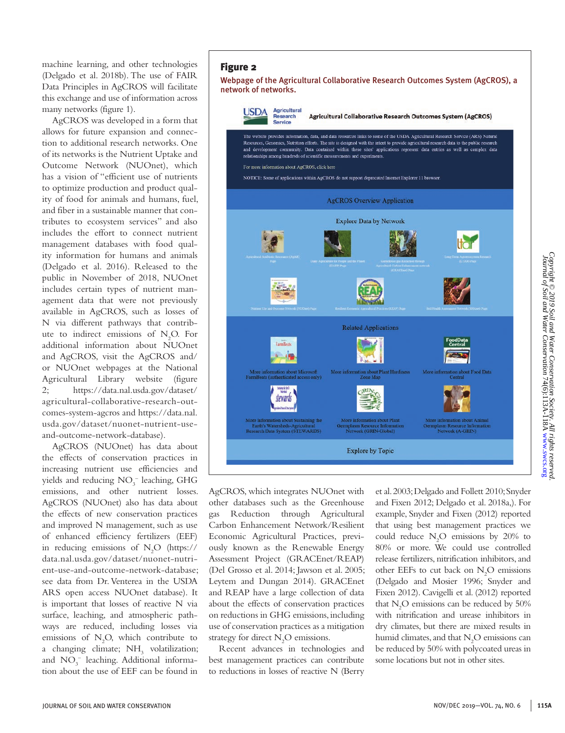machine learning, and other technologies (Delgado et al. 2018b). The use of FAIR Data Principles in AgCROS will facilitate this exchange and use of information across many networks (figure 1).

AgCROS was developed in a form that allows for future expansion and connection to additional research networks. One of its networks is the Nutrient Uptake and Outcome Network (NUOnet), which has a vision of "efficient use of nutrients to optimize production and product quality of food for animals and humans, fuel, and fiber in a sustainable manner that contributes to ecosystem services" and also includes the effort to connect nutrient management databases with food quality information for humans and animals (Delgado et al. 2016). Released to the public in November of 2018, NUOnet includes certain types of nutrient management data that were not previously available in AgCROS, such as losses of N via different pathways that contribute to indirect emissions of  $N_2O$ . For additional information about NUOnet and AgCROS, visit the AgCROS and/ or NUOnet webpages at the National Agricultural Library website (figure 2; https://data.nal.usda.gov/dataset/ agricultural-collaborative-research-outcomes-system-agcros and https://data.nal. usda.gov/dataset/nuonet-nutrient-useand-outcome-network-database).

AgCROS (NUOnet) has data about the effects of conservation practices in increasing nutrient use efficiencies and yields and reducing  $NO<sub>3</sub><sup>-</sup>$  leaching, GHG emissions, and other nutrient losses. AgCROS (NUOnet) also has data about the effects of new conservation practices and improved N management, such as use of enhanced efficiency fertilizers (EEF) in reducing emissions of  $N_2O$  (https:// data.nal.usda.gov/dataset/nuonet-nutrient-use-and-outcome-network-database; see data from Dr. Venterea in the USDA ARS open access NUOnet database). It is important that losses of reactive N via surface, leaching, and atmospheric pathways are reduced, including losses via emissions of  $N_2O$ , which contribute to a changing climate;  $NH<sub>3</sub>$  volatilization; and  $NO_3^-$  leaching. Additional information about the use of EEF can be found in

#### Figure 2 Webpage of the Agricultural Collaborative Research Outcomes System (AgCROS), a network of networks. **USDA** Agricultural Research Agricultural Collaborative Research Outcomes System (AgCROS) Service The website provides information, data, and data resources links to some of the USDA Agricultural Research Service (ARS) Natural



AgCROS, which integrates NUOnet with other databases such as the Greenhouse gas Reduction through Agricultural Carbon Enhancement Network/Resilient Economic Agricultural Practices, previously known as the Renewable Energy Assessment Project (GRACEnet/REAP) (Del Grosso et al. 2014; Jawson et al. 2005; Leytem and Dungan 2014). GRACEnet and REAP have a large collection of data about the effects of conservation practices on reductions in GHG emissions, including use of conservation practices as a mitigation strategy for direct  $N_2O$  emissions.

Recent advances in technologies and best management practices can contribute to reductions in losses of reactive N (Berry

et al. 2003; Delgado and Follett 2010; Snyder and Fixen 2012; Delgado et al. 2018a,). For example, Snyder and Fixen (2012) reported that using best management practices we could reduce  $N_2O$  emissions by 20% to 80% or more. We could use controlled release fertilizers, nitrification inhibitors, and other EEFs to cut back on  $N_2O$  emissions (Delgado and Mosier 1996; Snyder and Fixen 2012). Cavigelli et al. (2012) reported that  $N_2$ O emissions can be reduced by 50% with nitrification and urease inhibitors in dry climates, but there are mixed results in humid climates, and that  $N_2O$  emissions can be reduced by 50% with polycoated ureas in some locations but not in other sites.

*Copyright © 2019 Soil and Water Conservation Society. All rights reserved.* Journal of Soil and Water Conservation 74(6):113A-118A [www.swcs.org](http://www.swcs.org)

Copyright © 2019 Soil and Water Conservation Society. All rights reserved<br>Journal of Soil and Water Conservation 74(6):113A-118A www.swcs.org<br>Journal of Soil and Water Conservation 74(6):113A-118A www.swcs.org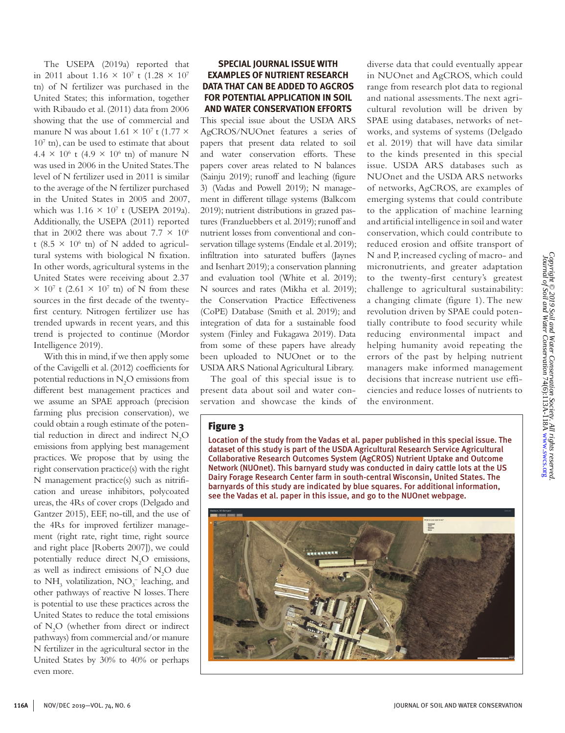The USEPA (2019a) reported that in 2011 about 1.16  $\times$  10<sup>7</sup> t (1.28  $\times$  10<sup>7</sup> tn) of N fertilizer was purchased in the United States; this information, together with Ribaudo et al. (2011) data from 2006 showing that the use of commercial and manure N was about  $1.61 \times 10^7$  t (1.77  $\times$ 107 tn), can be used to estimate that about  $4.4 \times 10^6$  t  $(4.9 \times 10^6 \text{ th})$  of manure N was used in 2006 in the United States. The level of N fertilizer used in 2011 is similar to the average of the N fertilizer purchased in the United States in 2005 and 2007, which was  $1.16 \times 10^7$  t (USEPA 2019a). Additionally, the USEPA (2011) reported that in 2002 there was about  $7.7 \times 10^6$ t (8.5  $\times$  10<sup>6</sup> tn) of N added to agricultural systems with biological N fixation. In other words, agricultural systems in the United States were receiving about 2.37  $\times$  10<sup>7</sup> t (2.61  $\times$  10<sup>7</sup> tn) of N from these sources in the first decade of the twentyfirst century. Nitrogen fertilizer use has trended upwards in recent years, and this trend is projected to continue (Mordor Intelligence 2019).

With this in mind, if we then apply some of the Cavigelli et al. (2012) coefficients for potential reductions in  $N_2O$  emissions from different best management practices and we assume an SPAE approach (precision farming plus precision conservation), we could obtain a rough estimate of the potential reduction in direct and indirect  $N_2O$ emissions from applying best management practices. We propose that by using the right conservation practice(s) with the right N management practice(s) such as nitrification and urease inhibitors, polycoated ureas, the 4Rs of cover crops (Delgado and Gantzer 2015), EEF, no-till, and the use of the 4Rs for improved fertilizer management (right rate, right time, right source and right place [Roberts 2007]), we could potentially reduce direct  $N_2O$  emissions, as well as indirect emissions of  $N_2O$  due to  $NH<sub>3</sub>$  volatilization,  $NO<sub>3</sub><sup>-</sup>$  leaching, and other pathways of reactive N losses. There is potential to use these practices across the United States to reduce the total emissions of N2 O (whether from direct or indirect pathways) from commercial and/or manure N fertilizer in the agricultural sector in the United States by 30% to 40% or perhaps even more.

### **SPECIAL JOURNAL ISSUE WITH EXAMPLES OF NUTRIENT RESEARCH DATA THAT CAN BE ADDED TO AGCROS FOR POTENTIAL APPLICATION IN SOIL AND WATER CONSERVATION EFFORTS**

This special issue about the USDA ARS AgCROS/NUOnet features a series of papers that present data related to soil and water conservation efforts. These papers cover areas related to N balances (Sainju 2019); runoff and leaching (figure 3) (Vadas and Powell 2019); N management in different tillage systems (Balkcom 2019); nutrient distributions in grazed pastures (Franzluebbers et al. 2019); runoff and nutrient losses from conventional and conservation tillage systems (Endale et al. 2019); infiltration into saturated buffers (Jaynes and Isenhart 2019); a conservation planning and evaluation tool (White et al. 2019); N sources and rates (Mikha et al. 2019); the Conservation Practice Effectiveness (CoPE) Database (Smith et al. 2019); and integration of data for a sustainable food system (Finley and Fukagawa 2019). Data from some of these papers have already been uploaded to NUOnet or to the USDA ARS National Agricultural Library.

The goal of this special issue is to present data about soil and water conservation and showcase the kinds of diverse data that could eventually appear in NUOnet and AgCROS, which could range from research plot data to regional and national assessments. The next agricultural revolution will be driven by SPAE using databases, networks of networks, and systems of systems (Delgado et al. 2019) that will have data similar to the kinds presented in this special issue. USDA ARS databases such as NUOnet and the USDA ARS networks of networks, AgCROS, are examples of emerging systems that could contribute to the application of machine learning and artificial intelligence in soil and water conservation, which could contribute to reduced erosion and offsite transport of N and P, increased cycling of macro- and micronutrients, and greater adaptation to the twenty-first century's greatest challenge to agricultural sustainability: a changing climate (figure 1). The new revolution driven by SPAE could potentially contribute to food security while reducing environmental impact and helping humanity avoid repeating the errors of the past by helping nutrient managers make informed management decisions that increase nutrient use efficiencies and reduce losses of nutrients to the environment.

## Figure 3

Location of the study from the Vadas et al. paper published in this special issue. The dataset of this study is part of the USDA Agricultural Research Service Agricultural Collaborative Research Outcomes System (AgCROS) Nutrient Uptake and Outcome Network (NUOnet). This barnyard study was conducted in dairy cattle lots at the US Dairy Forage Research Center farm in south-central Wisconsin, United States. The barnyards of this study are indicated by blue squares. For additional information, see the Vadas et al. paper in this issue, and go to the NUOnet webpage.

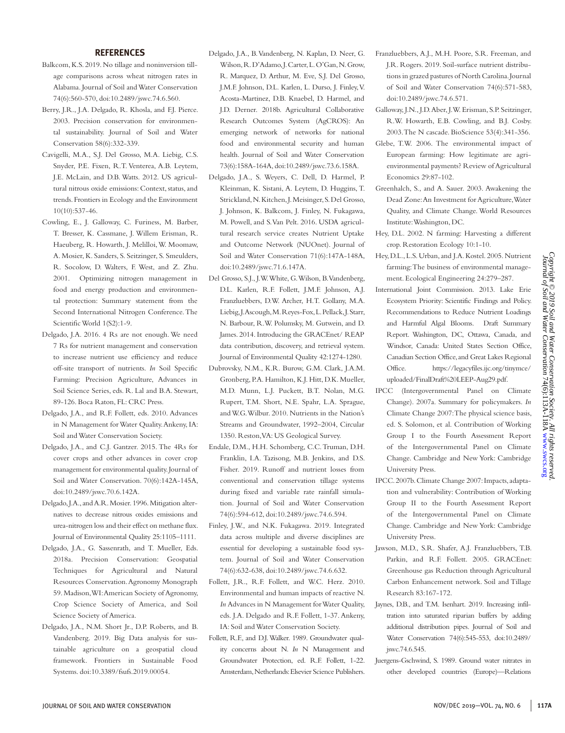#### **REFERENCES**

- Balkcom, K.S. 2019. No tillage and noninversion tillage comparisons across wheat nitrogen rates in Alabama. Journal of Soil and Water Conservation 74(6):560-570, doi:10.2489/jswc.74.6.560.
- Berry, J.R., J.A. Delgado, R. Khosla, and F.J. Pierce. 2003. Precision conservation for environmental sustainability. Journal of Soil and Water Conservation 58(6):332-339.
- Cavigelli, M.A., S.J. Del Grosso, M.A. Liebig, C.S. Snyder, P.E. Fixen, R.T. Venterea, A.B. Leytem, J.E. McLain, and D.B. Watts. 2012. US agricultural nitrous oxide emissions: Context, status, and trends. Frontiers in Ecology and the Environment 10(10):537-46.
- Cowling, E., J. Galloway, C. Furiness, M. Barber, T. Bresser, K. Cassmane, J. Willem Erisman, R. Haeuberg, R. Howarth, J. Melilloi, W. Moomaw, A. Mosier, K. Sanders, S. Seitzinger, S. Smeulders, R. Socolow, D. Walters, F. West, and Z. Zhu. 2001. Optimizing nitrogen management in food and energy production and environmental protection: Summary statement from the Second International Nitrogen Conference. The Scientific World 1(S2):1-9.
- Delgado, J.A. 2016. 4 Rs are not enough. We need 7 Rs for nutrient management and conservation to increase nutrient use efficiency and reduce off-site transport of nutrients. *In* Soil Specific Farming: Precision Agriculture, Advances in Soil Science Series, eds. R. Lal and B.A. Stewart, 89-126. Boca Raton, FL: CRC Press.
- Delgado, J.A., and R.F. Follett, eds. 2010. Advances in N Management for Water Quality. Ankeny, IA: Soil and Water Conservation Society.
- Delgado, J.A., and C.J. Gantzer. 2015. The 4Rs for cover crops and other advances in cover crop management for environmental quality. Journal of Soil and Water Conservation. 70(6):142A-145A, doi:10.2489/jswc.70.6.142A.
- Delgado, J.A., and A.R. Mosier. 1996. Mitigation alternatives to decrease nitrous oxides emissions and urea-nitrogen loss and their effect on methane flux. Journal of Environmental Quality 25:1105–1111.
- Delgado, J.A., G. Sassenrath, and T. Mueller, Eds. 2018a. Precision Conservation: Geospatial Techniques for Agricultural and Natural Resources Conservation. Agronomy Monograph 59. Madison, WI: American Society of Agronomy, Crop Science Society of America, and Soil Science Society of America.
- Delgado, J.A., N.M. Short Jr., D.P. Roberts, and B. Vandenberg. 2019. Big Data analysis for sustainable agriculture on a geospatial cloud framework. Frontiers in Sustainable Food Systems. doi:10.3389/fsufs.2019.00054.
- Delgado, J.A., B. Vandenberg, N. Kaplan, D. Neer, G. Wilson, R. D'Adamo, J. Carter, L. O'Gan, N. Grow, R. Marquez, D. Arthur, M. Eve, S.J. Del Grosso, J.M.F. Johnson, D.L. Karlen, L. Durso, J. Finley, V. Acosta-Martinez, D.B. Knaebel, D. Harmel, and J.D. Derner. 2018b. Agricultural Collaborative Research Outcomes System (AgCROS): An emerging network of networks for national food and environmental security and human health. Journal of Soil and Water Conservation 73(6):158A-164A, doi:10.2489/jswc.73.6.158A.
- Delgado, J.A., S. Weyers, C. Dell, D. Harmel, P. Kleinman, K. Sistani, A. Leytem, D. Huggins, T. Strickland, N. Kitchen, J. Meisinger, S. Del Grosso, J. Johnson, K. Balkcom, J. Finley, N. Fukagawa, M. Powell, and S. Van Pelt. 2016. USDA agricultural research service creates Nutrient Uptake and Outcome Network (NUOnet). Journal of Soil and Water Conservation 71(6):147A-148A, doi:10.2489/jswc.71.6.147A.
- Del Grosso, S.J., J.W. White, G. Wilson, B. Vandenberg, D.L. Karlen, R.F. Follett, J.M.F. Johnson, A.J. Franzluebbers, D.W. Archer, H.T. Gollany, M.A. Liebig, J. Ascough, M. Reyes-Fox, L. Pellack, J. Starr, N. Barbour, R.W. Polumsky, M. Gutwein, and D. James. 2014. Introducing the GRACEnet/ REAP data contribution, discovery, and retrieval system. Journal of Environmental Quality 42:1274-1280.
- Dubrovsky, N.M., K.R. Burow, G.M. Clark, J.A.M. Gronberg, P.A. Hamilton, K.J. Hitt, D.K. Mueller, M.D. Munn, L.J. Puckett, B.T. Nolan, M.G. Rupert, T.M. Short, N.E. Spahr, L.A. Sprague, and W.G. Wilbur. 2010. Nutrients in the Nation's Streams and Groundwater, 1992–2004, Circular 1350. Reston, VA: US Geological Survey.
- Endale, D.M., H.H. Schomberg, C.C. Truman, D.H. Franklin, I.A. Tazisong, M.B. Jenkins, and D.S. Fisher. 2019. Runoff and nutrient losses from conventional and conservation tillage systems during fixed and variable rate rainfall simulation. Journal of Soil and Water Conservation 74(6):594-612, doi:10.2489/jswc.74.6.594.
- Finley, J.W., and N.K. Fukagawa. 2019. Integrated data across multiple and diverse disciplines are essential for developing a sustainable food system. Journal of Soil and Water Conservation 74(6):632-638, doi:10.2489/jswc.74.6.632.
- Follett, J.R., R.F. Follett, and W.C. Herz. 2010. Environmental and human impacts of reactive N. *In* Advances in N Management for Water Quality, eds. J.A. Delgado and R.F. Follett, 1-37. Ankeny, IA: Soil and Water Conservation Society.
- Follett, R.F., and D.J. Walker. 1989. Groundwater quality concerns about N. *In* N Management and Groundwater Protection, ed. R.F. Follett, 1-22. Amsterdam, Netherlands: Elsevier Science Publishers.
- Franzluebbers, A.J., M.H. Poore, S.R. Freeman, and J.R. Rogers. 2019. Soil-surface nutrient distributions in grazed pastures of North Carolina. Journal of Soil and Water Conservation 74(6):571-583, doi:10.2489/jswc.74.6.571.
- Galloway, J.N., J.D. Aber, J.W. Erisman, S.P. Seitzinger, R.W. Howarth, E.B. Cowling, and B.J. Cosby. 2003. The N cascade. BioScience 53(4):341-356.
- Glebe, T.W. 2006. The environmental impact of European farming: How legitimate are agrienvironmental payments? Review of Agricultural Economics 29:87-102.
- Greenhalch, S., and A. Sauer. 2003. Awakening the Dead Zone: An Investment for Agriculture, Water Quality, and Climate Change. World Resources Institute: Washington, DC.
- Hey, D.L. 2002. N farming: Harvesting a different crop. Restoration Ecology 10:1-10.
- Hey, D.L., L.S. Urban, and J.A. Kostel. 2005. Nutrient farming: The business of environmental management. Ecological Engineering 24:279–287.
- International Joint Commission. 2013. Lake Erie Ecosystem Priority: Scientific Findings and Policy. Recommendations to Reduce Nutrient Loadings and Harmful Algal Blooms. Draft Summary Report. Washington, DC, Ottawa, Canada, and Windsor, Canada: United States Section Office, Canadian Section Office, and Great Lakes Regional Office. https://legacyfiles.ijc.org/tinymce/ uploaded/FinalDraft%20LEEP-Aug29.pdf.
- IPCC (Intergovernmental Panel on Climate Change). 2007a. Summary for policymakers. *In* Climate Change 2007: The physical science basis, ed. S. Solomon, et al. Contribution of Working Group I to the Fourth Assessment Report of the Intergovernmental Panel on Climate Change. Cambridge and New York: Cambridge University Press.
- IPCC. 2007b. Climate Change 2007: Impacts, adaptation and vulnerability: Contribution of Working Group II to the Fourth Assessment Report of the Intergovernmental Panel on Climate Change. Cambridge and New York: Cambridge University Press.
- Jawson, M.D., S.R. Shafer, A.J. Franzluebbers, T.B. Parkin, and R.F. Follett. 2005. GRACEnet: Greenhouse gas Reduction through Agricultural Carbon Enhancement network. Soil and Tillage Research 83:167-172.
- Jaynes, D.B., and T.M. Isenhart. 2019. Increasing infiltration into saturated riparian buffers by adding additional distribution pipes. Journal of Soil and Water Conservation 74(6):545-553, doi:10.2489/ jswc.74.6.545.
- Juergens-Gschwind, S. 1989. Ground water nitrates in other developed countries (Europe)—Relations